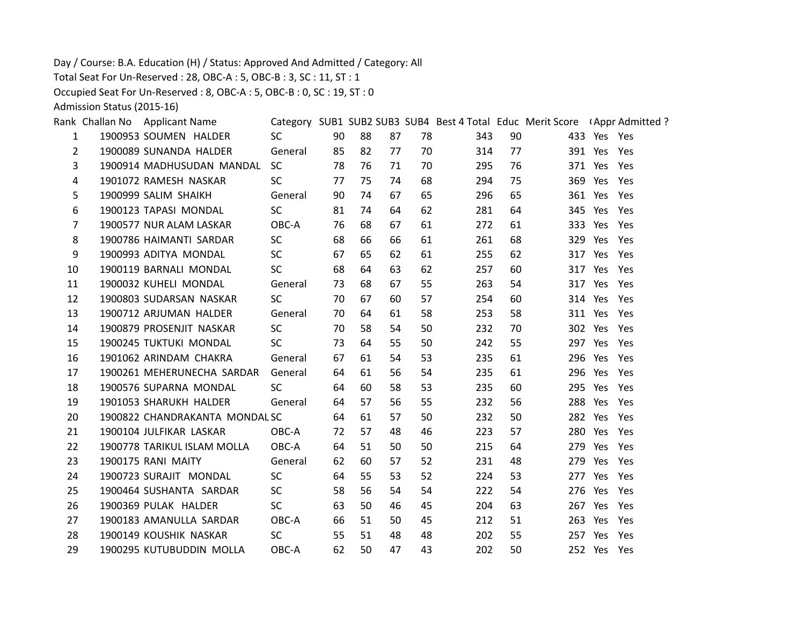Day / Course: B.A. Education (H) / Status: Approved And Admitted / Category: All

Total Seat For Un-Reserved : 28, OBC-A : 5, OBC-B : 3, SC : 11, ST : 1

Occupied Seat For Un-Reserved : 8, OBC-A : 5, OBC-B : 0, SC : 19, ST : 0

Admission Status (2015-16)

|                                          | <b>SC</b>                                                                                                                                                                                                                                                                                                                                                                                                                                                                                                                                                                                                                                                                                                                                                                                       |                               | 88                                                                                                                         | 87                                     | 78 | 343 |                                                                                                          |                                                                                                                                                                                                               |                                                                                                                                                                                                                                                                                                                                                                                                                                                                                                                               |
|------------------------------------------|-------------------------------------------------------------------------------------------------------------------------------------------------------------------------------------------------------------------------------------------------------------------------------------------------------------------------------------------------------------------------------------------------------------------------------------------------------------------------------------------------------------------------------------------------------------------------------------------------------------------------------------------------------------------------------------------------------------------------------------------------------------------------------------------------|-------------------------------|----------------------------------------------------------------------------------------------------------------------------|----------------------------------------|----|-----|----------------------------------------------------------------------------------------------------------|---------------------------------------------------------------------------------------------------------------------------------------------------------------------------------------------------------------|-------------------------------------------------------------------------------------------------------------------------------------------------------------------------------------------------------------------------------------------------------------------------------------------------------------------------------------------------------------------------------------------------------------------------------------------------------------------------------------------------------------------------------|
|                                          | General                                                                                                                                                                                                                                                                                                                                                                                                                                                                                                                                                                                                                                                                                                                                                                                         |                               | 82                                                                                                                         | 77                                     |    |     | 77                                                                                                       |                                                                                                                                                                                                               |                                                                                                                                                                                                                                                                                                                                                                                                                                                                                                                               |
|                                          | <b>SC</b>                                                                                                                                                                                                                                                                                                                                                                                                                                                                                                                                                                                                                                                                                                                                                                                       |                               | 76                                                                                                                         | 71                                     |    |     |                                                                                                          |                                                                                                                                                                                                               |                                                                                                                                                                                                                                                                                                                                                                                                                                                                                                                               |
|                                          | <b>SC</b>                                                                                                                                                                                                                                                                                                                                                                                                                                                                                                                                                                                                                                                                                                                                                                                       |                               | 75                                                                                                                         | 74                                     |    |     | 75                                                                                                       |                                                                                                                                                                                                               |                                                                                                                                                                                                                                                                                                                                                                                                                                                                                                                               |
|                                          | General                                                                                                                                                                                                                                                                                                                                                                                                                                                                                                                                                                                                                                                                                                                                                                                         |                               | 74                                                                                                                         | 67                                     | 65 |     | 65                                                                                                       |                                                                                                                                                                                                               |                                                                                                                                                                                                                                                                                                                                                                                                                                                                                                                               |
|                                          | <b>SC</b>                                                                                                                                                                                                                                                                                                                                                                                                                                                                                                                                                                                                                                                                                                                                                                                       |                               | 74                                                                                                                         | 64                                     |    |     | 64                                                                                                       |                                                                                                                                                                                                               |                                                                                                                                                                                                                                                                                                                                                                                                                                                                                                                               |
|                                          | OBC-A                                                                                                                                                                                                                                                                                                                                                                                                                                                                                                                                                                                                                                                                                                                                                                                           |                               | 68                                                                                                                         | 67                                     | 61 | 272 | 61                                                                                                       |                                                                                                                                                                                                               |                                                                                                                                                                                                                                                                                                                                                                                                                                                                                                                               |
|                                          | <b>SC</b>                                                                                                                                                                                                                                                                                                                                                                                                                                                                                                                                                                                                                                                                                                                                                                                       |                               | 66                                                                                                                         | 66                                     |    |     | 68                                                                                                       |                                                                                                                                                                                                               |                                                                                                                                                                                                                                                                                                                                                                                                                                                                                                                               |
|                                          | SC.                                                                                                                                                                                                                                                                                                                                                                                                                                                                                                                                                                                                                                                                                                                                                                                             |                               | 65                                                                                                                         | 62                                     | 61 |     |                                                                                                          |                                                                                                                                                                                                               |                                                                                                                                                                                                                                                                                                                                                                                                                                                                                                                               |
|                                          | <b>SC</b>                                                                                                                                                                                                                                                                                                                                                                                                                                                                                                                                                                                                                                                                                                                                                                                       |                               | 64                                                                                                                         | 63                                     | 62 |     |                                                                                                          |                                                                                                                                                                                                               |                                                                                                                                                                                                                                                                                                                                                                                                                                                                                                                               |
|                                          | General                                                                                                                                                                                                                                                                                                                                                                                                                                                                                                                                                                                                                                                                                                                                                                                         |                               | 68                                                                                                                         | 67                                     | 55 |     | 54                                                                                                       |                                                                                                                                                                                                               |                                                                                                                                                                                                                                                                                                                                                                                                                                                                                                                               |
|                                          | <b>SC</b>                                                                                                                                                                                                                                                                                                                                                                                                                                                                                                                                                                                                                                                                                                                                                                                       |                               | 67                                                                                                                         | 60                                     |    |     |                                                                                                          |                                                                                                                                                                                                               |                                                                                                                                                                                                                                                                                                                                                                                                                                                                                                                               |
|                                          | General                                                                                                                                                                                                                                                                                                                                                                                                                                                                                                                                                                                                                                                                                                                                                                                         |                               | 64                                                                                                                         | 61                                     |    |     | 58                                                                                                       |                                                                                                                                                                                                               |                                                                                                                                                                                                                                                                                                                                                                                                                                                                                                                               |
|                                          | SC.                                                                                                                                                                                                                                                                                                                                                                                                                                                                                                                                                                                                                                                                                                                                                                                             |                               | 58                                                                                                                         | 54                                     |    |     |                                                                                                          |                                                                                                                                                                                                               |                                                                                                                                                                                                                                                                                                                                                                                                                                                                                                                               |
|                                          | <b>SC</b>                                                                                                                                                                                                                                                                                                                                                                                                                                                                                                                                                                                                                                                                                                                                                                                       |                               | 64                                                                                                                         | 55                                     |    |     | 55                                                                                                       |                                                                                                                                                                                                               |                                                                                                                                                                                                                                                                                                                                                                                                                                                                                                                               |
|                                          | General                                                                                                                                                                                                                                                                                                                                                                                                                                                                                                                                                                                                                                                                                                                                                                                         |                               | 61                                                                                                                         | 54                                     |    |     | 61                                                                                                       |                                                                                                                                                                                                               |                                                                                                                                                                                                                                                                                                                                                                                                                                                                                                                               |
|                                          | General                                                                                                                                                                                                                                                                                                                                                                                                                                                                                                                                                                                                                                                                                                                                                                                         |                               | 61                                                                                                                         | 56                                     |    |     | 61                                                                                                       |                                                                                                                                                                                                               |                                                                                                                                                                                                                                                                                                                                                                                                                                                                                                                               |
|                                          | <b>SC</b>                                                                                                                                                                                                                                                                                                                                                                                                                                                                                                                                                                                                                                                                                                                                                                                       |                               | 60                                                                                                                         | 58                                     |    | 235 |                                                                                                          |                                                                                                                                                                                                               |                                                                                                                                                                                                                                                                                                                                                                                                                                                                                                                               |
|                                          | General                                                                                                                                                                                                                                                                                                                                                                                                                                                                                                                                                                                                                                                                                                                                                                                         |                               | 57                                                                                                                         | 56                                     | 55 |     | 56                                                                                                       |                                                                                                                                                                                                               |                                                                                                                                                                                                                                                                                                                                                                                                                                                                                                                               |
|                                          |                                                                                                                                                                                                                                                                                                                                                                                                                                                                                                                                                                                                                                                                                                                                                                                                 |                               | 61                                                                                                                         | 57                                     |    |     |                                                                                                          |                                                                                                                                                                                                               |                                                                                                                                                                                                                                                                                                                                                                                                                                                                                                                               |
|                                          | OBC-A                                                                                                                                                                                                                                                                                                                                                                                                                                                                                                                                                                                                                                                                                                                                                                                           |                               | 57                                                                                                                         | 48                                     |    |     | 57                                                                                                       |                                                                                                                                                                                                               |                                                                                                                                                                                                                                                                                                                                                                                                                                                                                                                               |
|                                          | OBC-A                                                                                                                                                                                                                                                                                                                                                                                                                                                                                                                                                                                                                                                                                                                                                                                           |                               | 51                                                                                                                         | 50                                     |    |     | 64                                                                                                       |                                                                                                                                                                                                               |                                                                                                                                                                                                                                                                                                                                                                                                                                                                                                                               |
|                                          | General                                                                                                                                                                                                                                                                                                                                                                                                                                                                                                                                                                                                                                                                                                                                                                                         |                               | 60                                                                                                                         | 57                                     |    |     | 48                                                                                                       |                                                                                                                                                                                                               |                                                                                                                                                                                                                                                                                                                                                                                                                                                                                                                               |
|                                          | <b>SC</b>                                                                                                                                                                                                                                                                                                                                                                                                                                                                                                                                                                                                                                                                                                                                                                                       |                               | 55                                                                                                                         | 53                                     |    |     | 53                                                                                                       |                                                                                                                                                                                                               |                                                                                                                                                                                                                                                                                                                                                                                                                                                                                                                               |
|                                          | SC.                                                                                                                                                                                                                                                                                                                                                                                                                                                                                                                                                                                                                                                                                                                                                                                             |                               | 56                                                                                                                         | 54                                     |    |     | 54                                                                                                       |                                                                                                                                                                                                               |                                                                                                                                                                                                                                                                                                                                                                                                                                                                                                                               |
|                                          | <b>SC</b>                                                                                                                                                                                                                                                                                                                                                                                                                                                                                                                                                                                                                                                                                                                                                                                       | 63                            | 50                                                                                                                         | 46                                     | 45 | 204 | 63                                                                                                       |                                                                                                                                                                                                               |                                                                                                                                                                                                                                                                                                                                                                                                                                                                                                                               |
|                                          | OBC-A                                                                                                                                                                                                                                                                                                                                                                                                                                                                                                                                                                                                                                                                                                                                                                                           |                               | 51                                                                                                                         | 50                                     | 45 |     | 51                                                                                                       |                                                                                                                                                                                                               |                                                                                                                                                                                                                                                                                                                                                                                                                                                                                                                               |
|                                          | <b>SC</b>                                                                                                                                                                                                                                                                                                                                                                                                                                                                                                                                                                                                                                                                                                                                                                                       |                               | 51                                                                                                                         | 48                                     | 48 | 202 | 55                                                                                                       |                                                                                                                                                                                                               |                                                                                                                                                                                                                                                                                                                                                                                                                                                                                                                               |
|                                          | OBC-A                                                                                                                                                                                                                                                                                                                                                                                                                                                                                                                                                                                                                                                                                                                                                                                           |                               | 50                                                                                                                         | 47                                     | 43 | 202 | 50                                                                                                       |                                                                                                                                                                                                               |                                                                                                                                                                                                                                                                                                                                                                                                                                                                                                                               |
| $\mathbf{1}$<br>$\overline{2}$<br>3<br>4 | Rank Challan No Applicant Name<br>1900953 SOUMEN HALDER<br>1900089 SUNANDA HALDER<br>1900914 MADHUSUDAN MANDAL<br>1901072 RAMESH NASKAR<br>1900999 SALIM SHAIKH<br>1900123 TAPASI MONDAL<br>1900577 NUR ALAM LASKAR<br>1900786 HAIMANTI SARDAR<br>1900993 ADITYA MONDAL<br>1900119 BARNALI MONDAL<br>1900032 KUHELI MONDAL<br>1900803 SUDARSAN NASKAR<br>1900712 ARJUMAN HALDER<br>1900879 PROSENJIT NASKAR<br>1900245 TUKTUKI MONDAL<br>1901062 ARINDAM CHAKRA<br>1900261 MEHERUNECHA SARDAR<br>1900576 SUPARNA MONDAL<br>1901053 SHARUKH HALDER<br>1900104 JULFIKAR LASKAR<br>1900778 TARIKUL ISLAM MOLLA<br>1900175 RANI MAITY<br>1900723 SURAJIT MONDAL<br>1900464 SUSHANTA SARDAR<br>1900369 PULAK HALDER<br>1900183 AMANULLA SARDAR<br>1900149 KOUSHIK NASKAR<br>1900295 KUTUBUDDIN MOLLA | 1900822 CHANDRAKANTA MONDALSC | 90<br>85<br>77<br>90<br>76<br>68<br>67<br>68<br>70<br>70<br>67<br>64<br>64<br>64<br>64<br>62<br>64<br>58<br>66<br>55<br>62 | 78<br>81<br>73<br>70<br>73<br>64<br>72 |    |     | 70<br>70<br>68<br>62<br>61<br>57<br>58<br>50<br>50<br>53<br>54<br>53<br>50<br>46<br>50<br>52<br>52<br>54 | 90<br>314<br>295<br>76<br>294<br>296<br>281<br>261<br>255<br>62<br>257<br>60<br>263<br>254<br>60<br>253<br>232<br>70<br>242<br>235<br>235<br>60<br>232<br>232<br>50<br>223<br>215<br>231<br>224<br>222<br>212 | Category SUB1 SUB2 SUB3 SUB4 Best 4 Total Educ Merit Score (Appr Admitted?<br>433 Yes Yes<br>391 Yes Yes<br>371 Yes Yes<br>369 Yes Yes<br>361 Yes Yes<br>345 Yes Yes<br>333 Yes Yes<br>329 Yes Yes<br>317 Yes Yes<br>317 Yes Yes<br>317 Yes Yes<br>314 Yes Yes<br>311 Yes Yes<br>302 Yes Yes<br>297 Yes Yes<br>296 Yes Yes<br>296 Yes Yes<br>295 Yes Yes<br>288 Yes Yes<br>282 Yes Yes<br>280 Yes Yes<br>279 Yes Yes<br>279 Yes Yes<br>277 Yes Yes<br>276 Yes Yes<br>267 Yes Yes<br>263 Yes Yes<br>257 Yes Yes<br>252 Yes Yes |